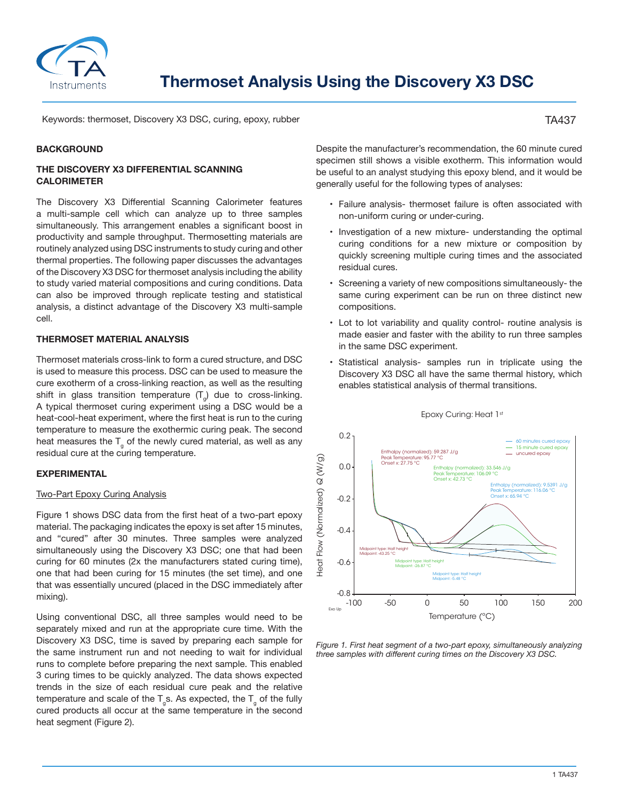

Keywords: thermoset, Discovery X3 DSC, curing, epoxy, rubber

#### **BACKGROUND**

## **THE DISCOVERY X3 DIFFERENTIAL SCANNING CALORIMETER**

The Discovery X3 Differential Scanning Calorimeter features a multi-sample cell which can analyze up to three samples simultaneously. This arrangement enables a significant boost in productivity and sample throughput. Thermosetting materials are routinely analyzed using DSC instruments to study curing and other thermal properties. The following paper discusses the advantages of the Discovery X3 DSC for thermoset analysis including the ability to study varied material compositions and curing conditions. Data can also be improved through replicate testing and statistical analysis, a distinct advantage of the Discovery X3 multi-sample cell.

### **THERMOSET MATERIAL ANALYSIS**

Thermoset materials cross-link to form a cured structure, and DSC is used to measure this process. DSC can be used to measure the cure exotherm of a cross-linking reaction, as well as the resulting shift in glass transition temperature  $(T_a)$  due to cross-linking. A typical thermoset curing experiment using a DSC would be a heat-cool-heat experiment, where the first heat is run to the curing temperature to measure the exothermic curing peak. The second heat measures the  $T_{g}$  of the newly cured material, as well as any residual cure at the curing temperature.

### **EXPERIMENTAL**

### Two-Part Epoxy Curing Analysis

Figure 1 shows DSC data from the first heat of a two-part epoxy material. The packaging indicates the epoxy is set after 15 minutes, and "cured" after 30 minutes. Three samples were analyzed simultaneously using the Discovery X3 DSC; one that had been curing for 60 minutes (2x the manufacturers stated curing time), one that had been curing for 15 minutes (the set time), and one that was essentially uncured (placed in the DSC immediately after mixing).

Using conventional DSC, all three samples would need to be separately mixed and run at the appropriate cure time. With the Discovery X3 DSC, time is saved by preparing each sample for the same instrument run and not needing to wait for individual runs to complete before preparing the next sample. This enabled 3 curing times to be quickly analyzed. The data shows expected trends in the size of each residual cure peak and the relative temperature and scale of the  $T_{q}$ s. As expected, the  $T_{q}$  of the fully cured products all occur at the same temperature in the second heat segment (Figure 2).

Despite the manufacturer's recommendation, the 60 minute cured specimen still shows a visible exotherm. This information would be useful to an analyst studying this epoxy blend, and it would be generally useful for the following types of analyses:

- Failure analysis- thermoset failure is often associated with non-uniform curing or under-curing.
- Investigation of a new mixture- understanding the optimal curing conditions for a new mixture or composition by quickly screening multiple curing times and the associated residual cures.
- Screening a variety of new compositions simultaneously- the same curing experiment can be run on three distinct new compositions.
- Lot to lot variability and quality control- routine analysis is made easier and faster with the ability to run three samples in the same DSC experiment.
- Statistical analysis- samples run in triplicate using the Discovery X3 DSC all have the same thermal history, which enables statistical analysis of thermal transitions.

Epoxy Curing: Heat 1st



# *Figure 1. First heat segment of a two-part epoxy, simultaneously analyzing*

# TA437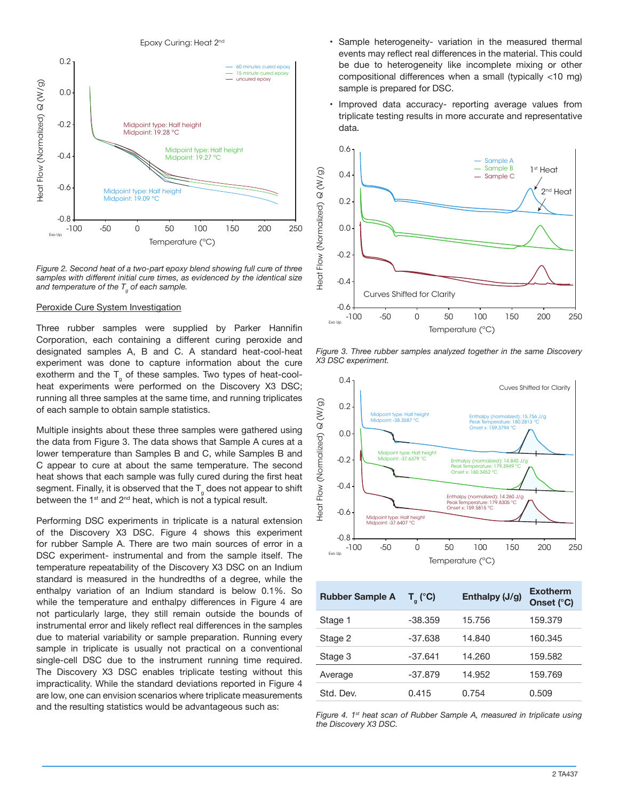

*Figure 2. Second heat of a two-part epoxy blend showing full cure of three samples with different initial cure times, as evidenced by the identical size and temperature of the Tg of each sample.*

### Peroxide Cure System Investigation

Three rubber samples were supplied by Parker Hannifin Corporation, each containing a different curing peroxide and designated samples A, B and C. A standard heat-cool-heat experiment was done to capture information about the cure exotherm and the  $T_{g}$  of these samples. Two types of heat-coolheat experiments were performed on the Discovery X3 DSC; running all three samples at the same time, and running triplicates of each sample to obtain sample statistics.

Multiple insights about these three samples were gathered using the data from Figure 3. The data shows that Sample A cures at a lower temperature than Samples B and C, while Samples B and C appear to cure at about the same temperature. The second heat shows that each sample was fully cured during the first heat segment. Finally, it is observed that the  $T<sub>g</sub>$  does not appear to shift between the  $1^{st}$  and  $2^{nd}$  heat, which is not a typical result.

Performing DSC experiments in triplicate is a natural extension of the Discovery X3 DSC. Figure 4 shows this experiment for rubber Sample A. There are two main sources of error in a DSC experiment- instrumental and from the sample itself. The temperature repeatability of the Discovery X3 DSC on an Indium standard is measured in the hundredths of a degree, while the enthalpy variation of an Indium standard is below 0.1%. So while the temperature and enthalpy differences in Figure 4 are not particularly large, they still remain outside the bounds of instrumental error and likely reflect real differences in the samples due to material variability or sample preparation. Running every sample in triplicate is usually not practical on a conventional single-cell DSC due to the instrument running time required. The Discovery X3 DSC enables triplicate testing without this impracticality. While the standard deviations reported in Figure 4 are low, one can envision scenarios where triplicate measurements and the resulting statistics would be advantageous such as:

- Sample heterogeneity- variation in the measured thermal events may reflect real differences in the material. This could be due to heterogeneity like incomplete mixing or other compositional differences when a small (typically <10 mg) sample is prepared for DSC.
- Improved data accuracy- reporting average values from triplicate testing results in more accurate and representative data.



*Figure 3. Three rubber samples analyzed together in the same Discovery X3 DSC experiment.*



| <b>Rubber Sample A</b> | $T_{q}$ (°C) | Enthalpy (J/g) | <b>Exotherm</b><br>Onset (°C) |
|------------------------|--------------|----------------|-------------------------------|
| Stage 1                | $-38.359$    | 15.756         | 159.379                       |
| Stage 2                | $-37.638$    | 14.840         | 160.345                       |
| Stage 3                | $-37.641$    | 14.260         | 159.582                       |
| Average                | $-37.879$    | 14.952         | 159.769                       |
| Std. Dev.              | 0.415        | 0.754          | 0.509                         |
|                        |              |                |                               |

*Figure 4. 1st heat scan of Rubber Sample A, measured in triplicate using the Discovery X3 DSC.*